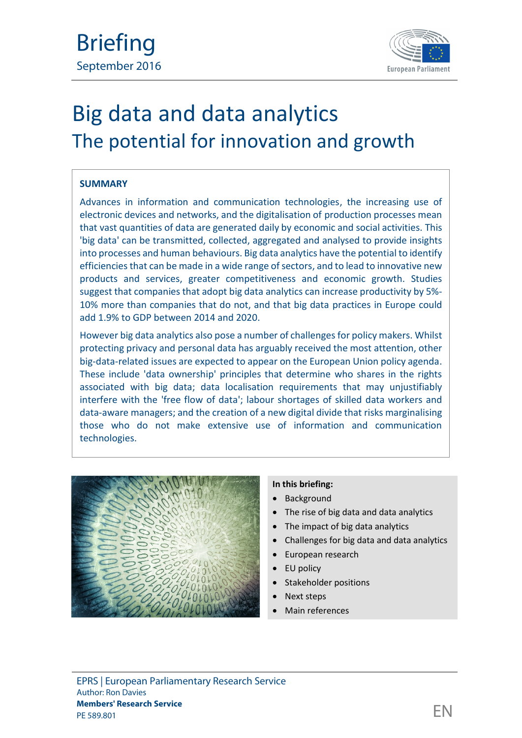

# Big data and data analytics The potential for innovation and growth

### **SUMMARY**

Advances in information and communication technologies, the increasing use of electronic devices and networks, and the digitalisation of production processes mean that vast quantities of data are generated daily by economic and social activities. This 'big data' can be transmitted, collected, aggregated and analysed to provide insights into processes and human behaviours. Big data analytics have the potential to identify efficiencies that can be made in a wide range of sectors, and to lead to innovative new products and services, greater competitiveness and economic growth. Studies suggest that companies that adopt big data analytics can increase productivity by 5%- 10% more than companies that do not, and that big data practices in Europe could add 1.9% to GDP between 2014 and 2020.

However big data analytics also pose a number of challenges for policy makers. Whilst protecting privacy and personal data has arguably received the most attention, other big-data-related issues are expected to appear on the European Union policy agenda. These include 'data ownership' principles that determine who shares in the rights associated with big data; data localisation requirements that may unjustifiably interfere with the 'free flow of data'; labour shortages of skilled data workers and data-aware managers; and the creation of a new digital divide that risks marginalising those who do not make extensive use of information and communication technologies.



#### **In this briefing:**

- Background
- The rise of big data and data analytics
- The impact of big data analytics
- Challenges for big data and data analytics
	- European research
- EU policy
- Stakeholder positions
- Next steps
- Main references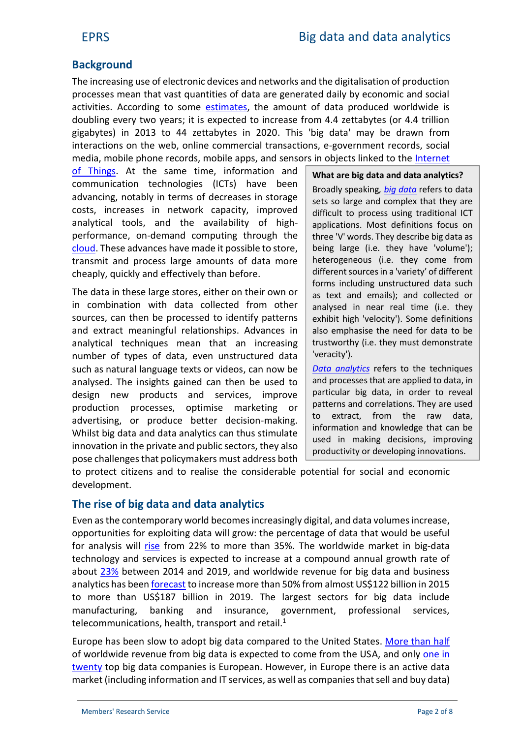# **Background**

The increasing use of electronic devices and networks and the digitalisation of production processes mean that vast quantities of data are generated daily by economic and social activities. According to some [estimates](http://www.emc.com/leadership/digital-universe/2014iview/executive-summary.htm), the amount of data produced worldwide is doubling every two years; it is expected to increase from 4.4 zettabytes (or 4.4 trillion gigabytes) in 2013 to 44 zettabytes in 2020. This 'big data' may be drawn from interactions on the web, online commercial transactions, e-government records, social media, mobile phone records, mobile apps, and sensors in objects linked to the [Internet](http://www.europarl.europa.eu/RegData/etudes/BRIE/2015/557012/EPRS_BRI(2015)557012_EN.pdf)

[of Things](http://www.europarl.europa.eu/RegData/etudes/BRIE/2015/557012/EPRS_BRI(2015)557012_EN.pdf). At the same time, information and communication technologies (ICTs) have been advancing, notably in terms of decreases in storage costs, increases in network capacity, improved analytical tools, and the availability of high performance, on-demand computing through the [cloud](http://www.europarl.europa.eu/RegData/etudes/IDAN/2016/583786/EPRS_IDA(2016)583786_EN.pdf). These advances have made it possible to store, transmit and process large amounts of data more cheaply, quickly and effectively than before.

The data in these large stores, either on their own or in combination with data collected from other sources, can then be processed to identify patterns and extract meaningful relationships. Advances in analytical techniques mean that an increasing number of types of data, even unstructured data such as natural language texts or videos, can now be analysed. The insights gained can then be used to design new products and services, improve production processes, optimise marketing or  $\begin{bmatrix} pa \\ to \end{bmatrix}$ advertising, or produce better decision-making. Whilst big data and data analytics can thus stimulate innovation in the private and public sectors, they also pose challenges that policymakers must address both

**What are big data and data analytics?**

Broadly speaking*, [big data](https://www.techopedia.com/definition/27745/big-data)* refers to data sets so large and complex that they are difficult to process using traditional ICT applications. Most definitions focus on three 'V' words. They describe big data as being large (i.e. they have 'volume'); heterogeneous (i.e. they come from different sources in a 'variety' of different forms including unstructured data such as text and emails); and collected or analysed in near real time (i.e. they exhibit high 'velocity'). Some definitions also emphasise the need for data to be trustworthy (i.e. they must demonstrate 'veracity').

*[Data analytics](https://www.techopedia.com/definition/26418/data-analytics)* refers to the techniques and processes that are applied to data, in particular big data, in order to reveal patterns and correlations. They are used extract, from the raw data, information and knowledge that can be used in making decisions, improving productivity or developing innovations.

to protect citizens and to realise the considerable potential for social and economic development.

### **The rise of big data and data analytics**

Even as the contemporary world becomesincreasingly digital, and data volumes increase, opportunities for exploiting data will grow: the percentage of data that would be useful for analysis will [rise](http://www.emc.com/leadership/digital-universe/2014iview/executive-summary.htm) from 22% to more than 35%. The worldwide market in big-data technology and services is expected to increase at a compound annual growth rate of about [23%](http://www.idc.com/getdoc.jsp?containerId=prUS40560115) between 2014 and 2019, and worldwide revenue for big data and business analytics has been [forecast](http://www.businesswire.com/news/home/20160523005153/en/Worldwide-Big-Data-Business-Analytics-Revenues-Forecast) to increase more than 50% from almost US\$122 billion in 2015 to more than US\$187 billion in 2019. The largest sectors for big data include manufacturing, banking and insurance, government, professional services, telecommunications, health, transport and retail. $1$ 

Europe has been slow to adopt big data compared to the United States. [More than half](https://www.idc.com/getdoc.jsp?containerId=prUS41306516) of worldwide revenue from big data is expected to come from the USA, and only [one in](http://www.euractiv.com/section/digital/news/europes-rude-awakening-to-big-data-politics/) [twenty](http://www.euractiv.com/section/digital/news/europes-rude-awakening-to-big-data-politics/) top big data companies is European. However, in Europe there is an active data market (including information and IT services, as well as companies that sell and buy data)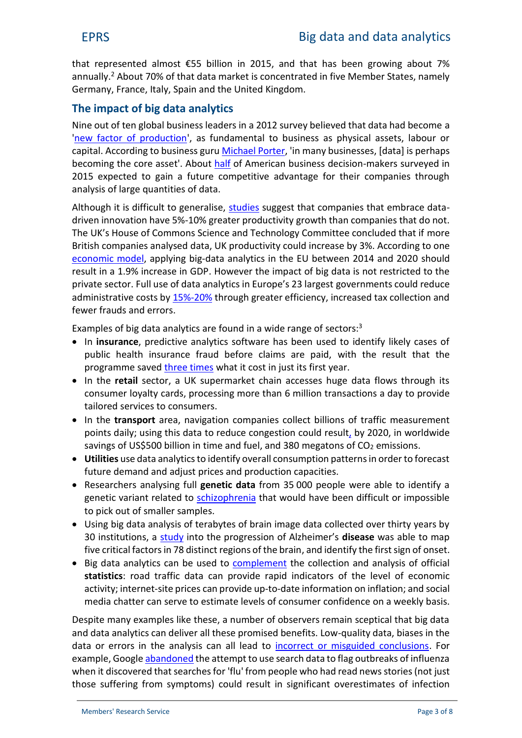that represented almost €55 billion in 2015, and that has been growing about 7% annually.<sup>2</sup> About 70% of that data market is concentrated in five Member States, namely Germany, France, Italy, Spain and the United Kingdom.

# **The impact of big data analytics**

Nine out of ten global business leaders in a 2012 survey believed that data had become a '[new factor of production](http://www.mckinsey.com/business-functions/business-technology/our-insights/big-data-the-next-frontier-for-innovation)', as fundamental to business as physical assets, labour or capital. According to business guru [Michael Porter](https://hbr.org/2015/10/how-smart-connected-products-are-transforming-companies), 'in many businesses, [data] is perhaps becoming the core asset'. About [half](http://iianalytics.com/analytics-resources/advanced-analytics-big-data-adoption-report-2016) of American business decision-makers surveyed in 2015 expected to gain a future competitive advantage for their companies through analysis of large quantities of data.

Although it is difficult to generalise, [studies](http://dx.doi.org/10.1787/9789264229358-en) suggest that companies that embrace datadriven innovation have 5%-10% greater productivity growth than companies that do not. The UK's House of Commons Science and Technology Committee concluded that if more British companies analysed data, UK productivity could increase by 3%. According to one [economic model](http://www.microsoft.com/global/eu/RenderingAssets/pdf/2014 Jan 28 EMEA Big and Open Data Report - Final Report.pdf), applying big-data analytics in the EU between 2014 and 2020 should result in a 1.9% increase in GDP. However the impact of big data is not restricted to the private sector. Full use of data analytics in Europe's 23 largest governments could reduce administrative costs by [15%-20%](http://dx.doi.org/10.1787/9789264229358-en) through greater efficiency, increased tax collection and fewer frauds and errors.

Examples of big data analytics are found in a wide range of sectors:<sup>3</sup>

- In **insurance**, predictive analytics software has been used to identify likely cases of public health insurance fraud before claims are paid, with the result that the programme saved [three times](http://www.whitehouse.gov/sites/default/files/docs/big_data_privacy_report_may_1_2014.pdf) what it cost in just its first year.
- In the **retail** sector, a UK supermarket chain accesses huge data flows through its consumer loyalty cards, processing more than 6 million transactions a day to provide tailored services to consumers.
- In the **transport** area, navigation companies collect billions of traffic measurement points daily; using this data to reduce congestion could result, by 2020, in worldwide savings of US\$500 billion in time and fuel, and 380 megatons of  $CO<sub>2</sub>$  emissions.
- **Utilities** use data analytics to identify overall consumption patterns in order to forecast future demand and adjust prices and production capacities.
- Researchers analysing full **genetic data** from 35 000 people were able to identify a genetic variant related to [schizophrenia](http://www.whitehouse.gov/sites/default/files/docs/big_data_privacy_report_may_1_2014.pdf) that would have been difficult or impossible to pick out of smaller samples.
- Using big data analysis of terabytes of brain image data collected over thirty years by 30 institutions, a [study](https://www.sciencedaily.com/releases/2016/07/160712130229.htm) into the progression of Alzheimer's **disease** was able to map five critical factors in 78 distinct regions of the brain, and identify the first sign of onset.
- Big data analytics can be used to [compleme](http://www1.unece.org/stat/platform/pages/viewpage.action?pageId=77170622)nt the collection and analysis of official **statistics**: road traffic data can provide rapid indicators of the level of economic activity; internet-site prices can provide up-to-date information on inflation; and social media chatter can serve to estimate levels of consumer confidence on a weekly basis.

Despite many examples like these, a number of observers remain sceptical that big data and data analytics can deliver all these promised benefits. Low-quality data, biases in the data or errors in the analysis can all lead to [incorrect or misguided conclusions](https://www.planning.org/planning/2015/apr/datadriven.htm). For example, Google [abandoned](http://www.wired.com/2015/10/can-learn-epic-failure-google-flu-trends/) the attempt to use search data to flag outbreaks of influenza when it discovered that searches for 'flu' from people who had read news stories (not just those suffering from symptoms) could result in significant overestimates of infection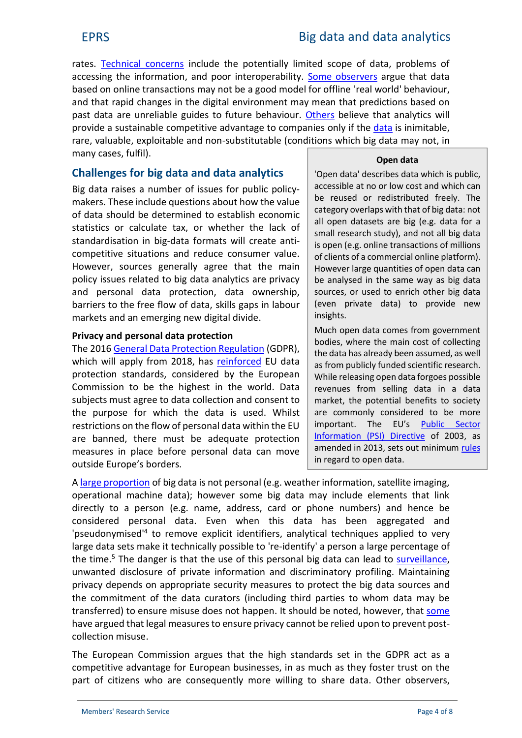rates. [Technical concerns](http://dx.doi.org/10.1080/00343404.2015.1107987) include the potentially limited scope of data, problems of accessing the information, and poor interoperability. Some [observers](http://link.springer.com/article/10.1007/s10842-014-0190-4) argue that data based on online transactions may not be a good model for offline 'real world' behaviour, and that rapid changes in the digital environment may mean that predictions based on past data are unreliable guides to future behaviour. [Others](http://bruegel.org/events/competing-with-big-data/) believe that analytics will provide a sustainable competitive advantage to companies only if the [data](http://bruegel.org/wp-content/uploads/2016/04/Lambrecht-and-Tucker-Big-Data-Bruegel-Event-Presentation.pdf) is inimitable, rare, valuable, exploitable and non-substitutable (conditions which big data may not, in many cases, fulfil).

# **Challenges for big data and data analytics**

Big data raises a number of issues for public policy makers. These include questions about how the value of data should be determined to establish economic statistics or calculate tax, or whether the lack of standardisation in big-data formats will create anti competitive situations and reduce consumer value. However, sources generally agree that the main policy issues related to big data analytics are privacy and personal data protection, data ownership, barriers to the free flow of data, skills gaps in labour markets and an emerging new digital divide.

#### **Privacy and personal data protection**

The 2016 [General Data Protection Regulation](http://eur-lex.europa.eu/legal-content/EN/TXT/?uri=CELEX:32016R0679) (GDPR), which will apply from 2018, has [reinforced](http://www.eprs.sso.ep.parl.union.eu/lis/lisrep/09-Briefings/2016/EPRS-AaG-580908-Data-protection-reform-package-FINAL.pdf) EU data protection standards, considered by the European Commission to be the highest in the world. Data subjects must agree to data collection and consent to the purpose for which the data is used. Whilst restrictions on the flow of personal data within the EU are banned, there must be adequate protection measures in place before personal data can move outside Europe's borders.

#### **Open data**

'Open data' describes data which is public, accessible at no or low cost and which can be reused or redistributed freely. The category overlaps with that of big data: not all open datasets are big (e.g. data for a small research study), and not all big data is open (e.g. online transactions of millions of clients of a commercial online platform). However large quantities of open data can be analysed in the same way as big data sources, or used to enrich other big data (even private data) to provide new insights.

Much open data comes from government bodies, where the main cost of collecting the data has already been assumed, as well as from publicly funded scientific research. While releasing open data forgoes possible revenues from selling data in a data market, the potential benefits to society are commonly considered to be more important. The EU's [Public Sector](http://eur-lex.europa.eu/legal-content/en/TXT/?uri=CELEX:02003L0098-20130717) [Information \(PSI\) Directive](http://eur-lex.europa.eu/legal-content/en/TXT/?uri=CELEX:02003L0098-20130717) of 2003, as amended in 2013, sets out minimum [rules](http://www.eprs.sso.ep.parl.union.eu/lis/lisrep/09-Briefings/2013/130553REV1-Re-use-of-public-sector-information-FINAL.pdf) in regard to open data.

A [large proportion](http://www.publications.parliament.uk/pa/cm201516/cmselect/cmsctech/468/468.pdf) of big data is not personal (e.g. weather information, satellite imaging, operational machine data); however some big data may include elements that link directly to a person (e.g. name, address, card or phone numbers) and hence be considered personal data. Even when this data has been aggregated and 'pseudonymised<sup>14</sup> to remove explicit identifiers, analytical techniques applied to very large data sets make it technically possible to 're-identify' a person a large percentage of the time.<sup>5</sup> The danger is that the use of this personal big data can lead to [surveillance](http://www.eprs.sso.ep.parl.union.eu/lis/lisrep/13-EPRS-publications/STOA_527409_STUD_Mass_Surveillance_Part1.pdf), unwanted disclosure of private information and discriminatory profiling. Maintaining privacy depends on appropriate security measures to protect the big data sources and the commitment of the data curators (including third parties to whom data may be transferred) to ensure misuse does not happen. It should be noted, however, that [some](http://www.slate.com/articles/technology/future_tense/2014/11/big_data_underground_railroad_history_says_unfettered_collection_of_data.single.html) have argued that legal measures to ensure privacy cannot be relied upon to prevent post collection misuse.

The European Commission argues that the high standards set in the GDPR act as a competitive advantage for European businesses, in as much as they foster trust on the part of citizens who are consequently more willing to share data. Other observers,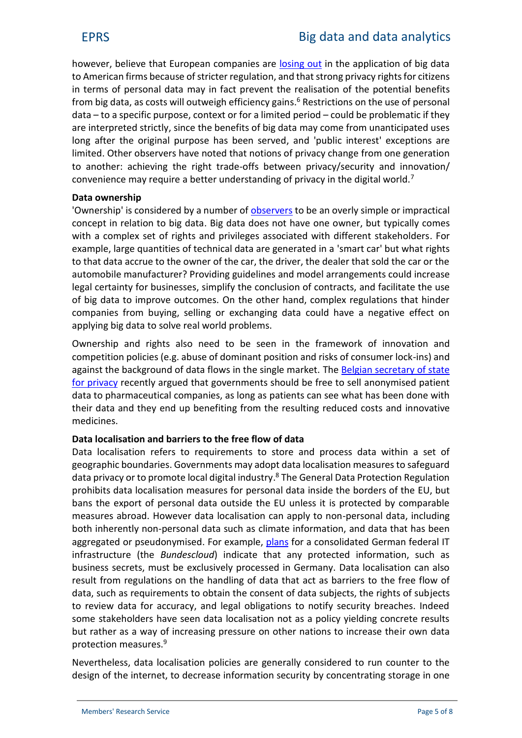however, believe that European companies are [losing out](https://www.siliconrepublic.com/machines/big-data-data-management-supercomputer) in the application of big data to American firms because of stricter regulation, and that strong privacy rights for citizens in terms of personal data may in fact prevent the realisation of the potential benefits from big data, as costs will outweigh efficiency gains.<sup>6</sup> Restrictions on the use of personal data – to a specific purpose, context or for a limited period – could be problematic if they are interpreted strictly, since the benefits of big data may come from unanticipated uses long after the original purpose has been served, and 'public interest' exceptions are limited. Other observers have noted that notions of privacy change from one generation to another: achieving the right trade-offs between privacy/security and innovation/ convenience may require a better understanding of privacy in the digital world.<sup>7</sup>

#### **Data ownership**

'Ownership' is considered by a number of [observers](http://dx.doi.org/10.1787/9789264229358-en) to be an overly simple or impractical concept in relation to big data. Big data does not have one owner, but typically comes with a complex set of rights and privileges associated with different stakeholders. For example, large quantities of technical data are generated in a 'smart car' but what rights to that data accrue to the owner of the car, the driver, the dealer that sold the car or the automobile manufacturer? Providing guidelines and model arrangements could increase legal certainty for businesses, simplify the conclusion of contracts, and facilitate the use of big data to improve outcomes. On the other hand, complex regulations that hinder companies from buying, selling or exchanging data could have a negative effect on applying big data to solve real world problems.

Ownership and rights also need to be seen in the framework of innovation and competition policies (e.g. abuse of dominant position and risks of consumer lock-ins) and against the background of data flows in the single market. The Belgian [secretary of state](http://www.demorgen.be/wetenschap/verkoopt-de-overheid-straks-uw-privegegevens-aan-farmabedrijven-b4c43d66/) [for privacy](http://www.demorgen.be/wetenschap/verkoopt-de-overheid-straks-uw-privegegevens-aan-farmabedrijven-b4c43d66/) recently argued that governments should be free to sell anonymised patient data to pharmaceutical companies, as long as patients can see what has been done with their data and they end up benefiting from the resulting reduced costs and innovative medicines.

### **Data localisation and barriers to the free flow of data**

Data localisation refers to requirements to store and process data within a set of geographic boundaries. Governments may adopt data localisation measures to safeguard data privacy or to promote local digital industry.<sup>8</sup> The General Data Protection Regulation prohibits data localisation measures for personal data inside the borders of the EU, but bans the export of personal data outside the EU unless it is protected by comparable measures abroad. However data localisation can apply to non-personal data, including both inherently non-personal data such as climate information, and data that has been aggregated or pseudonymised. For example, [plans](https://www.insideprivacy.com/cloud-computing/germanys-criteria-for-federal-use-of-cloud-services/) for a consolidated German federal IT infrastructure (the *Bundescloud*) indicate that any protected information, such as business secrets, must be exclusively processed in Germany. Data localisation can also result from regulations on the handling of data that act as barriers to the free flow of data, such as requirements to obtain the consent of data subjects, the rights of subjects to review data for accuracy, and legal obligations to notify security breaches. Indeed some stakeholders have seen data localisation not as a policy yielding concrete results but rather as a way of increasing pressure on other nations to increase their own data protection measures.<sup>9</sup>

Nevertheless, data localisation policies are generally considered to run counter to the design of the internet, to decrease information security by concentrating storage in one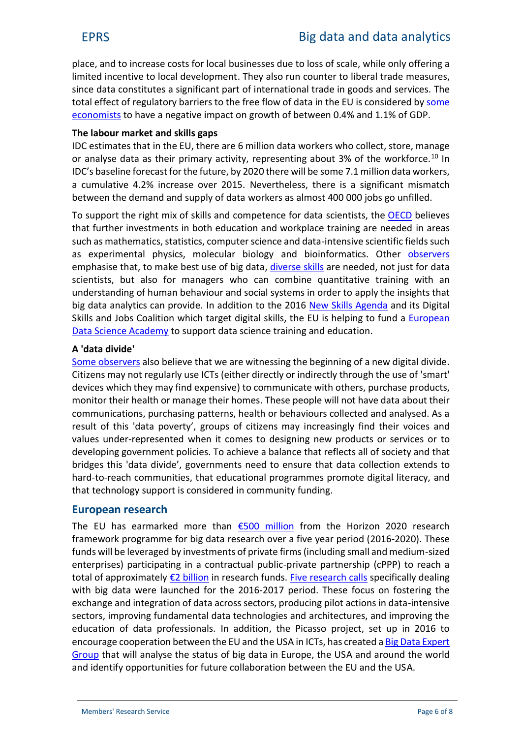place, and to increase costs for local businesses due to loss of scale, while only offering a limited incentive to local development. They also run counter to liberal trade measures, since data constitutes a significant part of international trade in goods and services. The total effect of regulatory barriers to the free flow of data in the EU is considered by [some](http://www.ecipe.org/app/uploads/2014/12/OCC32014__1.pdf) [economists](http://www.ecipe.org/app/uploads/2014/12/OCC32014__1.pdf) to have a negative impact on growth of between 0.4% and 1.1% of GDP.

#### **The labour market and skills gaps**

IDC estimates that in the EU, there are 6 million data workers who collect, store, manage or analyse data as their primary activity, representing about 3% of the workforce.<sup>10</sup> In IDC's baseline forecast for the future, by 2020 there will be some 7.1 million data workers, a cumulative 4.2% increase over 2015. Nevertheless, there is a significant mismatch between the demand and supply of data workers as almost 400 000 jobs go unfilled.

To support the right mix of skills and competence for data scientists, the [OECD](http://dx.doi.org/10.1787/9789264229358-en) believes that further investments in both education and workplace training are needed in areas such as mathematics, statistics, computer science and data-intensive scientific fields such as experimental physics, molecular biology and bioinformatics. Other [observers](https://www.microsoft.com/global/eu/RenderingAssets/pdf/2014 Jan 28 EMEA Big and Open Data Report - Final Report.pdf) emphasise that, to make best use of big data, [diverse skills](http://ec.europa.eu/newsroom/dae/document.cfm?action=display&doc_id=8908) are needed, not just for data scientists, but also for managers who can combine quantitative training with an understanding of human behaviour and social systems in order to apply the insights that big data analytics can provide. In addition to the 2016 [New Skills Agenda](http://europa.eu/rapid/press-release_IP-16-2039_en.htm) and its Digital Skills and Jobs Coalition which target digital skills, the EU is helping to fund a **[European](https://edsa-project.eu/)** [Data Science Academy](https://edsa-project.eu/) to support data science training and education.

#### **A 'data divide'**

Some [observers](http://www2.datainnovation.org/2014-data-poverty.pdf) also believe that we are witnessing the beginning of a new digital divide. Citizens may not regularly use ICTs (either directly or indirectly through the use of 'smart' devices which they may find expensive) to communicate with others, purchase products, monitor their health or manage their homes. These people will not have data about their communications, purchasing patterns, health or behaviours collected and analysed. As a result of this 'data poverty', groups of citizens may increasingly find their voices and values under-represented when it comes to designing new products or services or to developing government policies. To achieve a balance that reflects all of society and that bridges this 'data divide', governments need to ensure that data collection extends to hard-to-reach communities, that educational programmes promote digital literacy, and that technology support is considered in community funding.

### **European research**

The EU has earmarked more than [€500 million](http://europa.eu/rapid/press-release_IP-14-1129_en.htm) from the Horizon 2020 research framework programme for big data research over a five year period (2016-2020). These funds will be leveraged by investments of private firms (including small and medium-sized enterprises) participating in a contractual public-private partnership (cPPP) to reach a total of approximately [€2 billion](https://www.youtube.com/watch?v=30XoJfUC3Bc) in research funds. [Five research calls](http://ec.europa.eu/research/participants/data/ref/h2020/wp/2016_2017/main/h2020-wp1617-leit-ict_en.pdf) specifically dealing with big data were launched for the 2016-2017 period. These focus on fostering the exchange and integration of data across sectors, producing pilot actions in data-intensive sectors, improving fundamental data technologies and architectures, and improving the education of data professionals. In addition, the Picasso project, set up in 2016 to encourage cooperation between the EU and the USA in ICTs, has created a [Big Data Expert](http://www.picasso-project.eu/expert-groups/big-data-expert-group/) [Group](http://www.picasso-project.eu/expert-groups/big-data-expert-group/) that will analyse the status of big data in Europe, the USA and around the world and identify opportunities for future collaboration between the EU and the USA.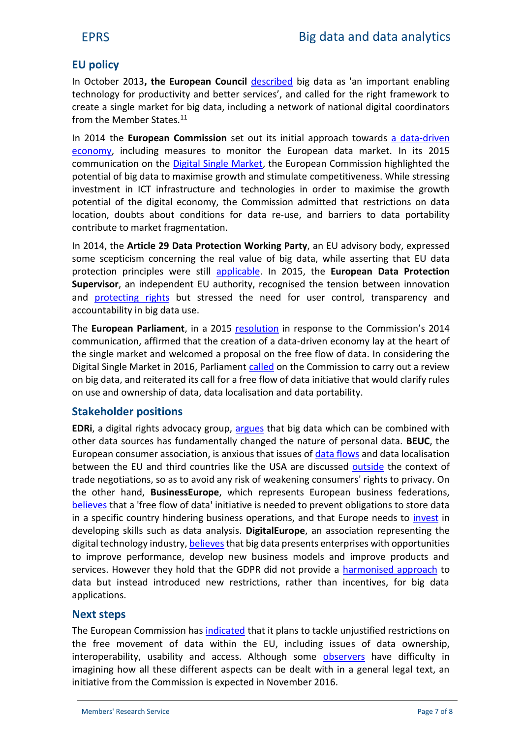# **EU policy**

In October 2013**, the European Council** [described](http://www.consilium.europa.eu/uedocs/cms_data/docs/pressdata/en/ec/139197.pdf) big data as 'an important enabling technology for productivity and better services', and called for the right framework to create a single market for big data, including a network of national digital coordinators from the Member States.<sup>11</sup>

In 2014 the **European Commission** set out its initial approach towards [a data-driven](http://eur-lex.europa.eu/legal-content/EN/TXT/?uri=CELEX:52014DC0442) [economy](http://eur-lex.europa.eu/legal-content/EN/TXT/?uri=CELEX:52014DC0442), including measures to monitor the European data market. In its 2015 communication on the [Digital Single Market](http://eur-lex.europa.eu/legal-content/EN/TXT/PDF/?uri=CELEX:52015DC0192&from=EN), the European Commission highlighted the potential of big data to maximise growth and stimulate competitiveness. While stressing investment in ICT infrastructure and technologies in order to maximise the growth potential of the digital economy, the Commission admitted that restrictions on data location, doubts about conditions for data re-use, and barriers to data portability contribute to market fragmentation.

In 2014, the **Article 29 Data Protection Working Party**, an EU advisory body, expressed some scepticism concerning the real value of big data, while asserting that EU data protection principles were still [applicable](http://ec.europa.eu/justice/data-protection/article-29/documentation/opinion-recommendation/files/2014/wp221_en.pdf). In 2015, the **European Data Protection Supervisor**, an independent EU authority, recognised the tension between innovation and [protecting](https://secure.edps.europa.eu/EDPSWEB/webdav/site/mySite/shared/Documents/Consultation/Opinions/2015/15-11-19_Big_Data_EN.pdf) rights but stressed the need for user control, transparency and accountability in big data use.

The **European Parliament**, in a 2015 [resolution](http://www.europarl.europa.eu/sides/getDoc.do?type=TA&language=EN&reference=P8-TA-2016-0089) in response to the Commission's 2014 communication, affirmed that the creation of a data-driven economy lay at the heart of the single market and welcomed a proposal on the free flow of data. In considering the Digital Single Market in 2016, Parliament [called](http://www.europarl.europa.eu/sides/getDoc.do?type=TA&language=EN&reference=P8-TA-2016-0009) on the Commission to carry out a review on big data, and reiterated its call for a free flow of data initiative that would clarify rules on use and ownership of data, data localisation and data portability.

### **Stakeholder positions**

**EDRi**, a digital rights advocacy group, [argues](https://edri.org/files/paper06_datap.pdf) that big data which can be combined with other data sources has fundamentally changed the nature of personal data. **BEUC**, the European consumer association, is anxious that issues of [data flows](http://www.beuc.eu/publications/beuc-x-2015-073_factsheet_data_flows_in_ttip.pdf) and data localisation between the EU and third countries like the USA are discussed [outside](http://www.beuc.eu/publications/beuc-x-2016-058_mgo_us_demands_in_ttip_and_tisa-data_localisation_policies_for_financial_services.pdf) the context of trade negotiations, so as to avoid any risk of weakening consumers' rights to privacy. On the other hand, **BusinessEurope**, which represents European business federations, [believes](https://www.businesseurope.eu/publications/eu-industrial-digitalisation-strategy-just-time-act-now) that a 'free flow of data' initiative is needed to prevent obligations to store data in a specific country hindering business operations, and that Europe needs to [invest](https://www.businesseurope.eu/sites/buseur/files/media/imported/2015-00372-E.pdf) in developing skills such as data analysis. **DigitalEurope**, an association representing the digital technology industry, [believes](http://www.digitaleurope.org/DesktopModules/Bring2mind/DMX/Download.aspx?Command=Core_Download&entryID=2162&PortalId=0&TabId=353) that big data presents enterprises with opportunities to improve performance, develop new business models and improve products and services. However they hold that the GDPR did not provide a [harmonised approach](http://www.digitaleurope.org/DesktopModules/Bring2mind/DMX/Download.aspx?Command=Core_Download&entryID=2135&PortalId=0&TabId=353) to data but instead introduced new restrictions, rather than incentives, for big data applications.

#### **Next steps**

The European Commission has [indicated](https://ec.europa.eu/digital-single-market/en/digitising-european-industry) that it plans to tackle unjustified restrictions on the free movement of data within the EU, including issues of data ownership, interoperability, usability and access. Although some [observers](http://brussels.ftistratcomm.com/wp-content/uploads/sites/5/2016/05/Snapshot-9-16-The-State-of-the-EUs-Digital-Single-Market-Project.pdf) have difficulty in imagining how all these different aspects can be dealt with in a general legal text, an initiative from the Commission is expected in November 2016.